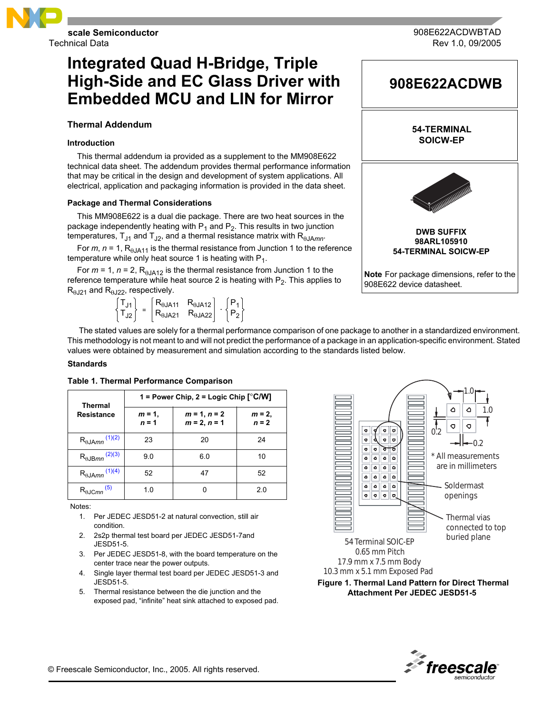

Technical Data

# **Integrated Quad H-Bridge, Triple High-Side and EC Glass Driver with Embedded MCU and LIN for Mirror**

# **Thermal Addendum**

# **Introduction**

This thermal addendum ia provided as a supplement to the MM908E622 technical data sheet. The addendum provides thermal performance information that may be critical in the design and development of system applications. All electrical, application and packaging information is provided in the data sheet.

# **Package and Thermal Considerations**

This MM908E622 is a dual die package. There are two heat sources in the package independently heating with  $P_1$  and  $P_2$ . This results in two junction temperatures,  $T_{J1}$  and  $T_{J2}$ , and a thermal resistance matrix with  $R_{\theta JAmm}$ .

For  $m$ ,  $n = 1$ ,  $R_{\theta JAA1}$  is the thermal resistance from Junction 1 to the reference temperature while only heat source 1 is heating with  $P_1$ .

For  $m = 1$ ,  $n = 2$ ,  $R_{\theta J A12}$  is the thermal resistance from Junction 1 to the reference temperature while heat source 2 is heating with  $P_2$ . This applies to  $R_{\theta$ J<sub>21</sub> and  $R_{\theta$ J<sub>22</sub>, respectively.

> $\mathsf{T}_{\mathsf{J1}}$  $\vec{T_{J2}}$  =  $\mathsf{R}_{\theta\mathsf{JA11}}$  $R_{\theta$ JA21  $\mathsf{R}_{\theta\mathsf{JA12}}$  $\mathsf{R}_{\theta\mathsf{JA22}}$  $\cdot \sqrt{\frac{P_1}{P_1}}$  $P_2$

 The stated values are solely for a thermal performance comparison of one package to another in a standardized environment. This methodology is not meant to and will not predict the performance of a package in an application-specific environment. Stated values were obtained by measurement and simulation according to the standards listed below.

## **Standards**

| Thermal<br><b>Resistance</b>       | 1 = Power Chip, 2 = Logic Chip $[°C/W]$ |                                  |                     |  |
|------------------------------------|-----------------------------------------|----------------------------------|---------------------|--|
|                                    | $m = 1$ ,<br>$n = 1$                    | $m = 1, n = 2$<br>$m = 2, n = 1$ | $m = 2,$<br>$n = 2$ |  |
| $R_{\theta$ JAmn <sup>(1)(2)</sup> | 23                                      | 20                               | 24                  |  |
| $R_{\theta$ JBmn <sup>(2)(3)</sup> | 9.0                                     | 6.0                              | 10                  |  |
| $R_{\theta JAmn}$ (1)(4)           | 52                                      | 47                               | 52                  |  |
| $R_{\theta$ JCmn <sup>(5)</sup>    | 1.0                                     |                                  | 2.0                 |  |

## **Table 1. Thermal Performance Comparison**

<span id="page-0-0"></span>Notes:

- 1. Per JEDEC JESD51-2 at natural convection, still air condition.
- <span id="page-0-1"></span>2. 2s2p thermal test board per JEDEC JESD51-7and JESD51-5.
- <span id="page-0-2"></span>3. Per JEDEC JESD51-8, with the board temperature on the center trace near the power outputs.
- <span id="page-0-3"></span>4. Single layer thermal test board per JEDEC JESD51-3 and JESD51-5.
- <span id="page-0-4"></span>5. Thermal resistance between the die junction and the exposed pad, "infinite" heat sink attached to exposed pad.



 **Figure 1. Thermal Land Pattern for Direct Thermal Attachment Per JEDEC JESD51-5**



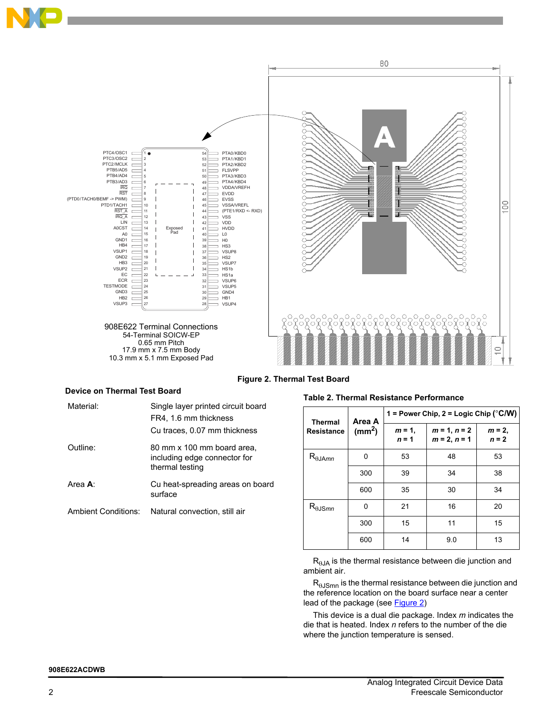



 **Figure 2. Thermal Test Board**

# <span id="page-1-0"></span>**Device on Thermal Test Board**

| Material:                  | Single layer printed circuit board<br>FR4, 1.6 mm thickness<br>Cu traces, 0.07 mm thickness |
|----------------------------|---------------------------------------------------------------------------------------------|
| Outline:                   | 80 mm x 100 mm board area,<br>including edge connector for<br>thermal testing               |
| Area <b>A</b> :            | Cu heat-spreading areas on board<br>surface                                                 |
| <b>Ambient Conditions:</b> | Natural convection, still air                                                               |

## **Table 2. Thermal Resistance Performance**

| <b>Thermal</b><br><b>Resistance</b> | Area A<br>(mm <sup>2</sup> ) | 1 = Power Chip, 2 = Logic Chip ( $^{\circ}$ C/W) |                                  |                      |  |
|-------------------------------------|------------------------------|--------------------------------------------------|----------------------------------|----------------------|--|
|                                     |                              | $m = 1$ ,<br>$n = 1$                             | $m = 1, n = 2$<br>$m = 2, n = 1$ | $m = 2$ ,<br>$n = 2$ |  |
| $R_{\theta JAmn}$                   | 0                            | 53                                               | 48                               | 53                   |  |
|                                     | 300                          | 39                                               | 34                               | 38                   |  |
|                                     | 600                          | 35                                               | 30                               | 34                   |  |
| $R_{\theta$ JSmn                    | 0                            | 21                                               | 16                               | 20                   |  |
|                                     | 300                          | 15                                               | 11                               | 15                   |  |
|                                     | 600                          | 14                                               | 9.0                              | 13                   |  |

 $R_{\theta JA}$  is the thermal resistance between die junction and ambient air.

 $R_{\theta JSmn}$  is the thermal resistance between die junction and the reference location on the board surface near a center lead of the package (see [Figure 2](#page-1-0))

This device is a dual die package. Index *m* indicates the die that is heated. Index *n* refers to the number of the die where the junction temperature is sensed.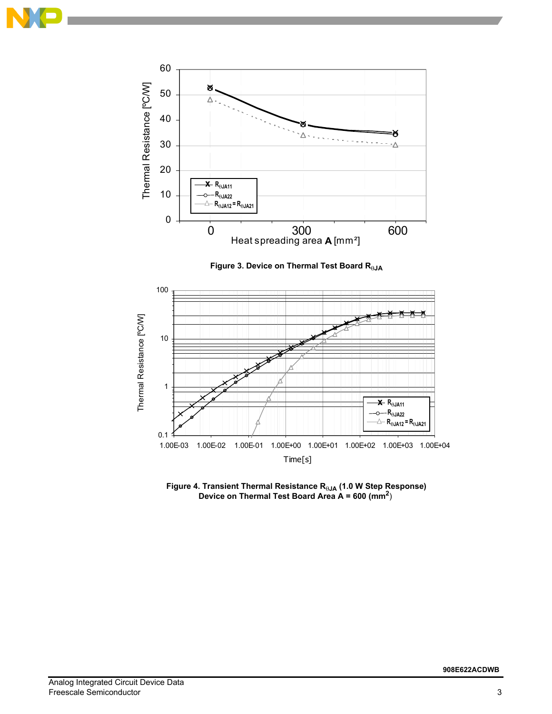







 **Figure 4. Transient Thermal Resistance R<sub>θJA</sub> (1.0 W Step Response) Device on Thermal Test Board Area A = 600 (mm2**)